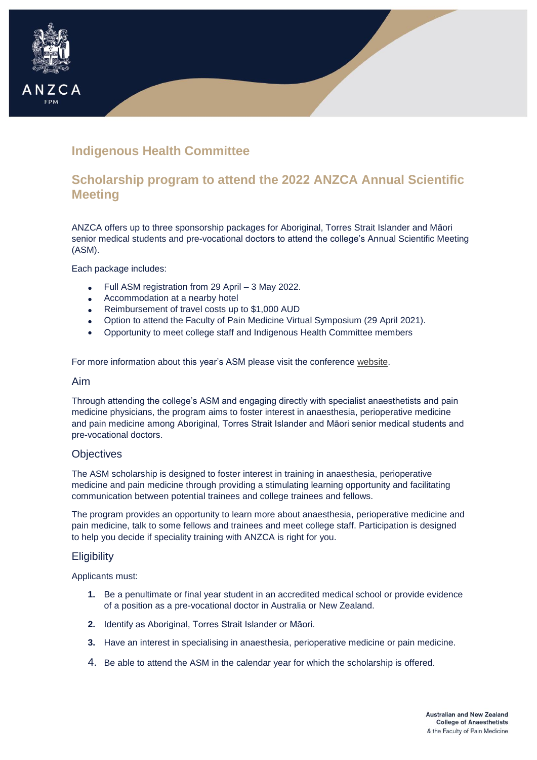# **Indigenous Health Committee**

## **Scholarship program to attend the 2022 ANZCA Annual Scientific Meeting**

ANZCA offers up to three sponsorship packages for Aboriginal, Torres Strait Islander and Māori senior medical students and pre-vocational doctors to attend the college's Annual Scientific Meeting (ASM).

Each package includes:

- Full ASM registration from 29 April 3 May 2022.
- Accommodation at a nearby hotel
- Reimbursement of travel costs up to \$1,000 AUD
- Option to attend the Faculty of Pain Medicine Virtual Symposium (29 April 2021).
- Opportunity to meet college staff and Indigenous Health Committee members

For more information about this year's ASM please visit the conference [website.](https://asm.anzca.edu.au/)

#### Aim

ANZCA

Through attending the college's ASM and engaging directly with specialist anaesthetists and pain medicine physicians, the program aims to foster interest in anaesthesia, perioperative medicine and pain medicine among Aboriginal, Torres Strait Islander and Māori senior medical students and pre-vocational doctors.

#### **Objectives**

The ASM scholarship is designed to foster interest in training in anaesthesia, perioperative medicine and pain medicine through providing a stimulating learning opportunity and facilitating communication between potential trainees and college trainees and fellows.

The program provides an opportunity to learn more about anaesthesia, perioperative medicine and pain medicine, talk to some fellows and trainees and meet college staff. Participation is designed to help you decide if speciality training with ANZCA is right for you.

#### **Eligibility**

Applicants must:

- **1.** Be a penultimate or final year student in an accredited medical school or provide evidence of a position as a pre-vocational doctor in Australia or New Zealand.
- **2.** Identify as Aboriginal, Torres Strait Islander or Māori.
- **3.** Have an interest in specialising in anaesthesia, perioperative medicine or pain medicine.
- 4. Be able to attend the ASM in the calendar year for which the scholarship is offered.